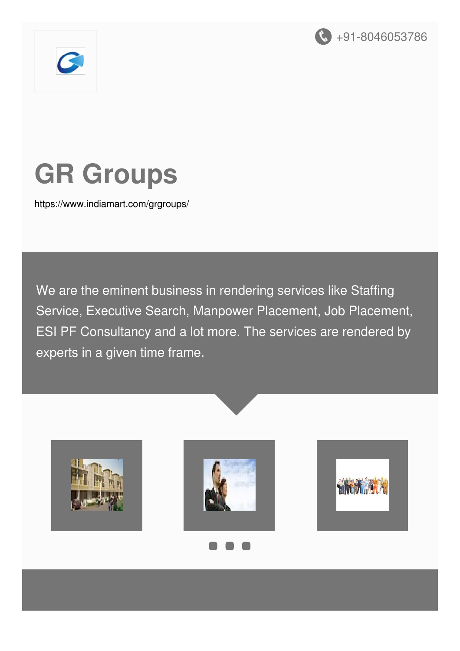



# **GR Groups**

<https://www.indiamart.com/grgroups/>

We are the eminent business in rendering services like Staffing Service, Executive Search, Manpower Placement, Job Placement, ESI PF Consultancy and a lot more. The services are rendered by experts in a given time frame.

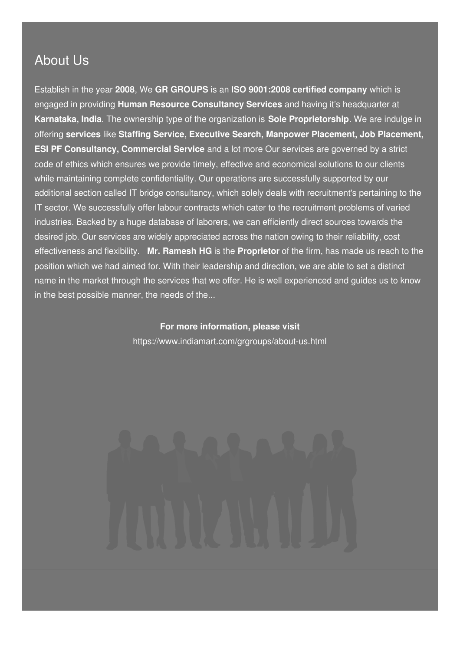#### About Us

Establish in the year **2008**, We **GR GROUPS** is an **ISO 9001:2008 certified company** which is engaged in providing **Human Resource Consultancy Services** and having it's headquarter at **Karnataka, India**. The ownership type of the organization is **Sole Proprietorship**. We are indulge in offering **services** like **Staffing Service, Executive Search, Manpower Placement, Job Placement, ESI PF Consultancy, Commercial Service** and a lot more Our services are governed by a strict code of ethics which ensures we provide timely, effective and economical solutions to our clients while maintaining complete confidentiality. Our operations are successfully supported by our additional section called IT bridge consultancy, which solely deals with recruitment's pertaining to the IT sector. We successfully offer labour contracts which cater to the recruitment problems of varied industries. Backed by a huge database of laborers, we can efficiently direct sources towards the desired job. Our services are widely appreciated across the nation owing to their reliability, cost effectiveness and flexibility. **Mr. Ramesh HG** is the **Proprietor** of the firm, has made us reach to the position which we had aimed for. With their leadership and direction, we are able to set a distinct name in the market through the services that we offer. He is well experienced and guides us to know in the best possible manner, the needs of the...

> **For more information, please visit** <https://www.indiamart.com/grgroups/about-us.html>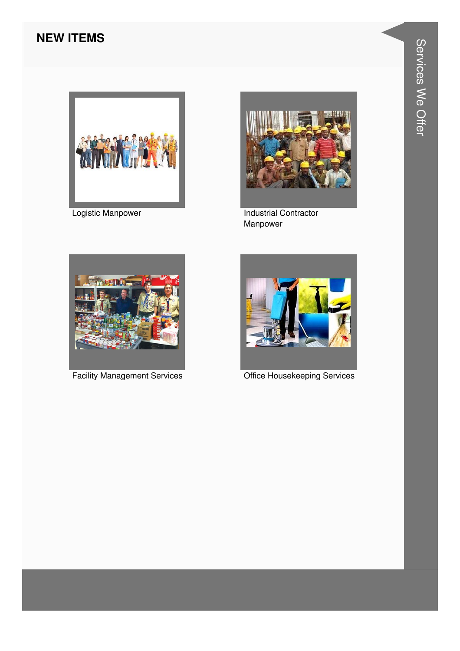#### **NEW ITEMS**



**Logistic Manpower** 



**Industrial Contractor** Manpower



**Facility Management Services** 



**Office Housekeeping Services**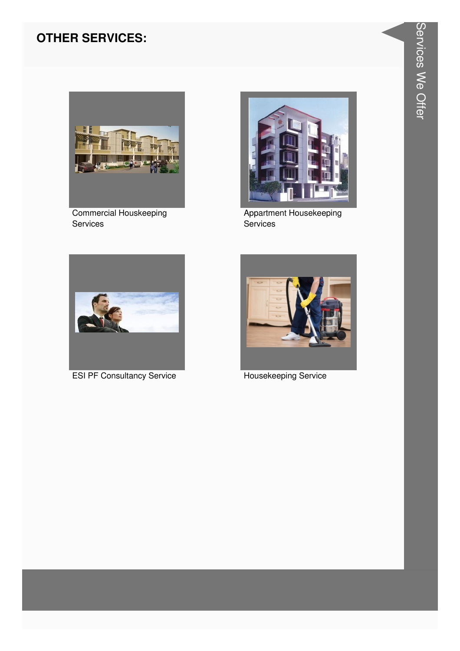#### **OTHER SERVICES:**



**Commercial Houskeeping** Services



Appartment Housekeeping<br>Services



**ESI PF Consultancy Service** 



Housekeeping Service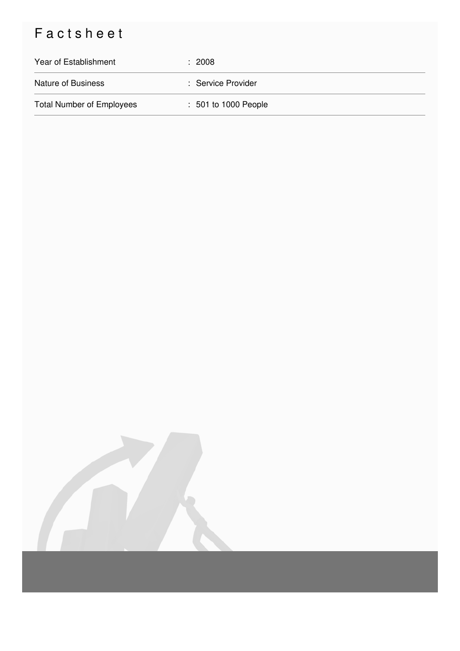## Factsheet

| Year of Establishment            | $\div$ 2008          |
|----------------------------------|----------------------|
| <b>Nature of Business</b>        | : Service Provider   |
| <b>Total Number of Employees</b> | : 501 to 1000 People |